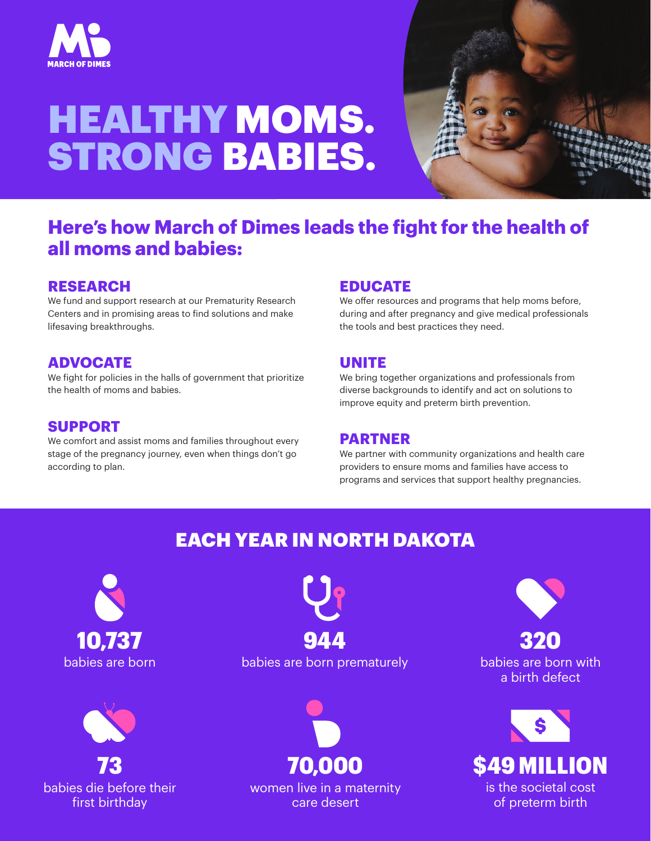

# HEALTHY MOMS. STRONG BABIES.



## **Here's how March of Dimes leads the fight for the health of all moms and babies:**

#### **RESEARCH**

We fund and support research at our Prematurity Research Centers and in promising areas to find solutions and make lifesaving breakthroughs.

#### **ADVOCATE**

We fight for policies in the halls of government that prioritize the health of moms and babies.

#### **SUPPORT**

We comfort and assist moms and families throughout every stage of the pregnancy journey, even when things don't go according to plan.

#### **EDUCATE**

We offer resources and programs that help moms before, during and after pregnancy and give medical professionals the tools and best practices they need.

#### **UNITE**

We bring together organizations and professionals from diverse backgrounds to identify and act on solutions to improve equity and preterm birth prevention.

#### **PARTNER**

We partner with community organizations and health care providers to ensure moms and families have access to programs and services that support healthy pregnancies.

## EACH YEAR IN NORTH DAKOTA





babies are born babies are born prematurely



women live in a maternity care desert



babies are born with a birth defect 320